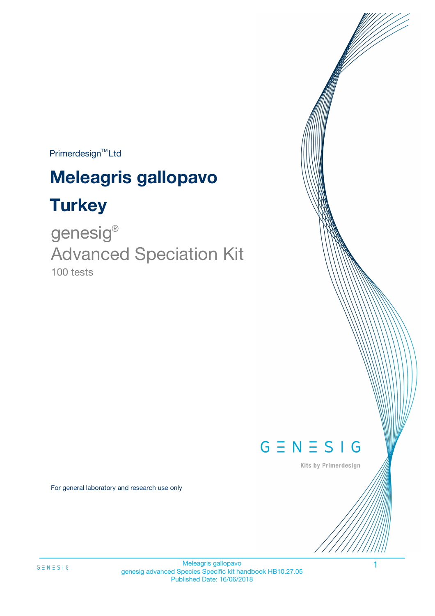Primerdesign<sup>™</sup>Ltd

# **Meleagris gallopavo**

# **Turkey**

100 tests genesig ® Advanced Speciation Kit



Kits by Primerdesign

For general laboratory and research use only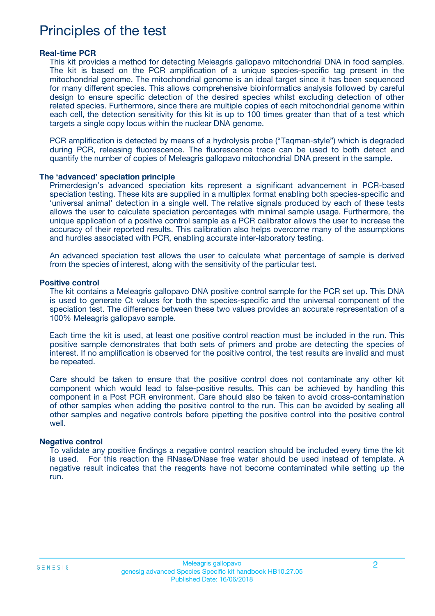# Principles of the test

### **Real-time PCR**

This kit provides a method for detecting Meleagris gallopavo mitochondrial DNA in food samples. The kit is based on the PCR amplification of a unique species-specific tag present in the mitochondrial genome. The mitochondrial genome is an ideal target since it has been sequenced for many different species. This allows comprehensive bioinformatics analysis followed by careful design to ensure specific detection of the desired species whilst excluding detection of other related species. Furthermore, since there are multiple copies of each mitochondrial genome within each cell, the detection sensitivity for this kit is up to 100 times greater than that of a test which targets a single copy locus within the nuclear DNA genome.

PCR amplification is detected by means of a hydrolysis probe ("Taqman-style") which is degraded during PCR, releasing fluorescence. The fluorescence trace can be used to both detect and quantify the number of copies of Meleagris gallopavo mitochondrial DNA present in the sample.

#### **The 'advanced' speciation principle**

Primerdesign's advanced speciation kits represent a significant advancement in PCR-based speciation testing. These kits are supplied in a multiplex format enabling both species-specific and 'universal animal' detection in a single well. The relative signals produced by each of these tests allows the user to calculate speciation percentages with minimal sample usage. Furthermore, the unique application of a positive control sample as a PCR calibrator allows the user to increase the accuracy of their reported results. This calibration also helps overcome many of the assumptions and hurdles associated with PCR, enabling accurate inter-laboratory testing.

An advanced speciation test allows the user to calculate what percentage of sample is derived from the species of interest, along with the sensitivity of the particular test.

#### **Positive control**

The kit contains a Meleagris gallopavo DNA positive control sample for the PCR set up. This DNA is used to generate Ct values for both the species-specific and the universal component of the speciation test. The difference between these two values provides an accurate representation of a 100% Meleagris gallopavo sample.

Each time the kit is used, at least one positive control reaction must be included in the run. This positive sample demonstrates that both sets of primers and probe are detecting the species of interest. If no amplification is observed for the positive control, the test results are invalid and must be repeated.

Care should be taken to ensure that the positive control does not contaminate any other kit component which would lead to false-positive results. This can be achieved by handling this component in a Post PCR environment. Care should also be taken to avoid cross-contamination of other samples when adding the positive control to the run. This can be avoided by sealing all other samples and negative controls before pipetting the positive control into the positive control well.

#### **Negative control**

To validate any positive findings a negative control reaction should be included every time the kit is used. For this reaction the RNase/DNase free water should be used instead of template. A negative result indicates that the reagents have not become contaminated while setting up the run.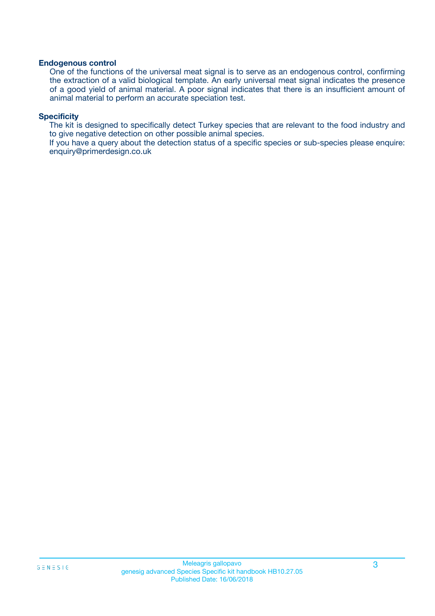### **Endogenous control**

One of the functions of the universal meat signal is to serve as an endogenous control, confirming the extraction of a valid biological template. An early universal meat signal indicates the presence of a good yield of animal material. A poor signal indicates that there is an insufficient amount of animal material to perform an accurate speciation test.

### **Specificity**

The kit is designed to specifically detect Turkey species that are relevant to the food industry and to give negative detection on other possible animal species.

If you have a query about the detection status of a specific species or sub-species please enquire: enquiry@primerdesign.co.uk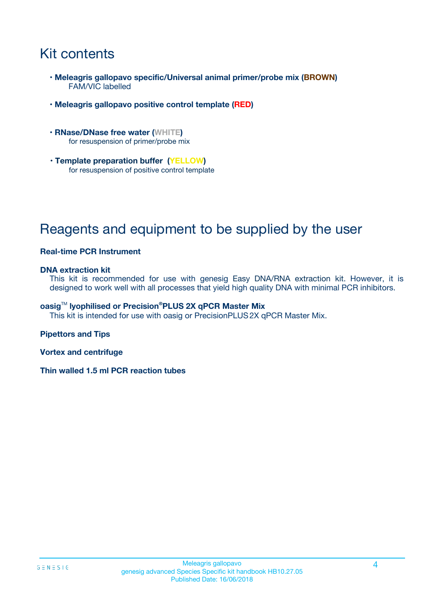# Kit contents

- **Meleagris gallopavo specific/Universal animal primer/probe mix (BROWN)** FAM/VIC labelled
- **Meleagris gallopavo positive control template (RED)**
- **RNase/DNase free water (WHITE)** for resuspension of primer/probe mix
- **Template preparation buffer (YELLOW)** for resuspension of positive control template

# Reagents and equipment to be supplied by the user

### **Real-time PCR Instrument**

### **DNA extraction kit**

This kit is recommended for use with genesig Easy DNA/RNA extraction kit. However, it is designed to work well with all processes that yield high quality DNA with minimal PCR inhibitors.

### **oasig**TM **lyophilised or Precision®PLUS 2X qPCR Master Mix**

This kit is intended for use with oasig or PrecisionPLUS2X qPCR Master Mix.

### **Pipettors and Tips**

**Vortex and centrifuge**

**Thin walled 1.5 ml PCR reaction tubes**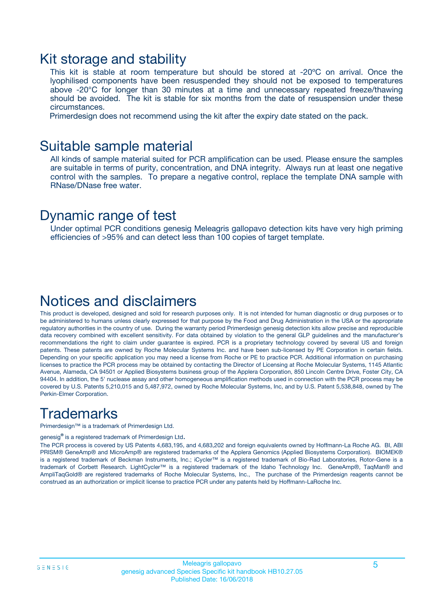### Kit storage and stability

This kit is stable at room temperature but should be stored at -20ºC on arrival. Once the lyophilised components have been resuspended they should not be exposed to temperatures above -20°C for longer than 30 minutes at a time and unnecessary repeated freeze/thawing should be avoided. The kit is stable for six months from the date of resuspension under these circumstances.

Primerdesign does not recommend using the kit after the expiry date stated on the pack.

### Suitable sample material

All kinds of sample material suited for PCR amplification can be used. Please ensure the samples are suitable in terms of purity, concentration, and DNA integrity. Always run at least one negative control with the samples. To prepare a negative control, replace the template DNA sample with RNase/DNase free water.

### Dynamic range of test

Under optimal PCR conditions genesig Meleagris gallopavo detection kits have very high priming efficiencies of >95% and can detect less than 100 copies of target template.

### Notices and disclaimers

This product is developed, designed and sold for research purposes only. It is not intended for human diagnostic or drug purposes or to be administered to humans unless clearly expressed for that purpose by the Food and Drug Administration in the USA or the appropriate regulatory authorities in the country of use. During the warranty period Primerdesign genesig detection kits allow precise and reproducible data recovery combined with excellent sensitivity. For data obtained by violation to the general GLP guidelines and the manufacturer's recommendations the right to claim under guarantee is expired. PCR is a proprietary technology covered by several US and foreign patents. These patents are owned by Roche Molecular Systems Inc. and have been sub-licensed by PE Corporation in certain fields. Depending on your specific application you may need a license from Roche or PE to practice PCR. Additional information on purchasing licenses to practice the PCR process may be obtained by contacting the Director of Licensing at Roche Molecular Systems, 1145 Atlantic Avenue, Alameda, CA 94501 or Applied Biosystems business group of the Applera Corporation, 850 Lincoln Centre Drive, Foster City, CA 94404. In addition, the 5' nuclease assay and other homogeneous amplification methods used in connection with the PCR process may be covered by U.S. Patents 5,210,015 and 5,487,972, owned by Roche Molecular Systems, Inc, and by U.S. Patent 5,538,848, owned by The Perkin-Elmer Corporation.

# **Trademarks**

Primerdesign™ is a trademark of Primerdesign Ltd.

genesig**®** is a registered trademark of Primerdesign Ltd.

The PCR process is covered by US Patents 4,683,195, and 4,683,202 and foreign equivalents owned by Hoffmann-La Roche AG. BI, ABI PRISM® GeneAmp® and MicroAmp® are registered trademarks of the Applera Genomics (Applied Biosystems Corporation). BIOMEK® is a registered trademark of Beckman Instruments, Inc.; iCycler™ is a registered trademark of Bio-Rad Laboratories, Rotor-Gene is a trademark of Corbett Research. LightCycler™ is a registered trademark of the Idaho Technology Inc. GeneAmp®, TaqMan® and AmpliTaqGold® are registered trademarks of Roche Molecular Systems, Inc., The purchase of the Primerdesign reagents cannot be construed as an authorization or implicit license to practice PCR under any patents held by Hoffmann-LaRoche Inc.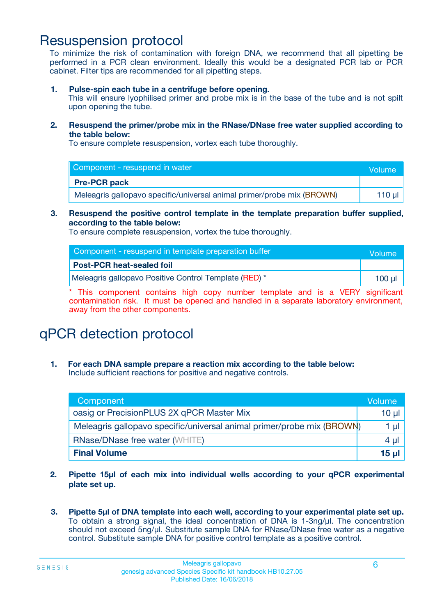# Resuspension protocol

To minimize the risk of contamination with foreign DNA, we recommend that all pipetting be performed in a PCR clean environment. Ideally this would be a designated PCR lab or PCR cabinet. Filter tips are recommended for all pipetting steps.

**1. Pulse-spin each tube in a centrifuge before opening.**

This will ensure lyophilised primer and probe mix is in the base of the tube and is not spilt upon opening the tube.

**2. Resuspend the primer/probe mix in the RNase/DNase free water supplied according to the table below:**

To ensure complete resuspension, vortex each tube thoroughly.

| Component - resuspend in water                                         | Volume   |
|------------------------------------------------------------------------|----------|
| <b>Pre-PCR pack</b>                                                    |          |
| Meleagris gallopavo specific/universal animal primer/probe mix (BROWN) | 110 µl 1 |

### **3. Resuspend the positive control template in the template preparation buffer supplied, according to the table below:**

To ensure complete resuspension, vortex the tube thoroughly.

| Component - resuspend in template preparation buffer  | <b>Volume</b> |
|-------------------------------------------------------|---------------|
| <b>Post-PCR heat-sealed foil</b>                      |               |
| Meleagris gallopavo Positive Control Template (RED) * | 100 ul        |

\* This component contains high copy number template and is a VERY significant contamination risk. It must be opened and handled in a separate laboratory environment, away from the other components.

# qPCR detection protocol

**1. For each DNA sample prepare a reaction mix according to the table below:** Include sufficient reactions for positive and negative controls.

| Component <sup>1</sup>                                                 | Volume          |
|------------------------------------------------------------------------|-----------------|
| oasig or PrecisionPLUS 2X qPCR Master Mix                              | 10 µ $\vert$    |
| Meleagris gallopavo specific/universal animal primer/probe mix (BROWN) | 1 µl            |
| <b>RNase/DNase free water (WHITE)</b>                                  | $4 \mu$         |
| <b>Final Volume</b>                                                    | 15 <sub>µ</sub> |

- **2. Pipette 15µl of each mix into individual wells according to your qPCR experimental plate set up.**
- **3. Pipette 5µl of DNA template into each well, according to your experimental plate set up.** To obtain a strong signal, the ideal concentration of DNA is 1-3ng/µl. The concentration should not exceed 5ng/µl. Substitute sample DNA for RNase/DNase free water as a negative control. Substitute sample DNA for positive control template as a positive control.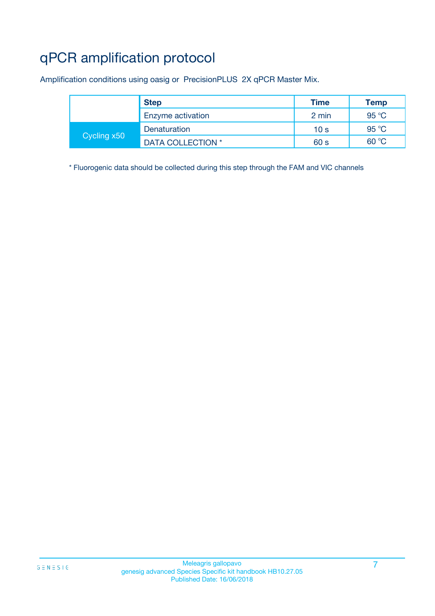# qPCR amplification protocol

Amplification conditions using oasig or PrecisionPLUS 2X qPCR Master Mix.

|             | <b>Step</b>       | <b>Time</b>     | <b>Temp</b> |
|-------------|-------------------|-----------------|-------------|
|             | Enzyme activation | 2 min           | 95 °C       |
| Cycling x50 | Denaturation      | 10 <sub>s</sub> | 95 °C       |
|             | DATA COLLECTION * | 60 s            | 60 °C       |

\* Fluorogenic data should be collected during this step through the FAM and VIC channels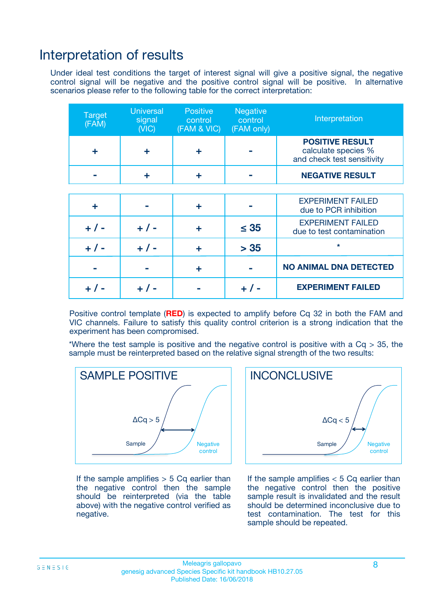## Interpretation of results

Under ideal test conditions the target of interest signal will give a positive signal, the negative control signal will be negative and the positive control signal will be positive. In alternative scenarios please refer to the following table for the correct interpretation:

| <b>Target</b><br>(FAM) | <b>Universal</b><br>signal<br>(NIC) | <b>Positive</b><br>control<br>(FAM & VIC) | Negative<br>control<br>(FAM only) | Interpretation                                                              |
|------------------------|-------------------------------------|-------------------------------------------|-----------------------------------|-----------------------------------------------------------------------------|
| ÷                      | ÷                                   | ÷                                         |                                   | <b>POSITIVE RESULT</b><br>calculate species %<br>and check test sensitivity |
|                        |                                     | ÷                                         |                                   | <b>NEGATIVE RESULT</b>                                                      |
|                        |                                     |                                           |                                   |                                                                             |
| ÷                      |                                     | ÷                                         |                                   | <b>EXPERIMENT FAILED</b><br>due to PCR inhibition                           |
| $+ 1 -$                | $+ 1 -$                             | ÷                                         | $\leq$ 35                         | <b>EXPERIMENT FAILED</b><br>due to test contamination                       |
| $+ 1 -$                | $+ 1 -$                             |                                           | > 35                              | $\star$                                                                     |
|                        |                                     | ÷                                         |                                   | <b>NO ANIMAL DNA DETECTED</b>                                               |
|                        | $+$ / -                             |                                           | + / -                             | <b>EXPERIMENT FAILED</b>                                                    |

Positive control template (**RED**) is expected to amplify before Cq 32 in both the FAM and VIC channels. Failure to satisfy this quality control criterion is a strong indication that the experiment has been compromised.

\*Where the test sample is positive and the negative control is positive with a  $Cq > 35$ , the sample must be reinterpreted based on the relative signal strength of the two results:



If the sample amplifies  $> 5$  Cq earlier than the negative control then the sample should be reinterpreted (via the table above) with the negative control verified as negative.



If the sample amplifies  $< 5$  Cq earlier than the negative control then the positive sample result is invalidated and the result should be determined inconclusive due to test contamination. The test for this sample should be repeated.

#### Meleagris gallopavo 8 genesig advanced Species Specific kit handbook HB10.27.05 Published Date: 16/06/2018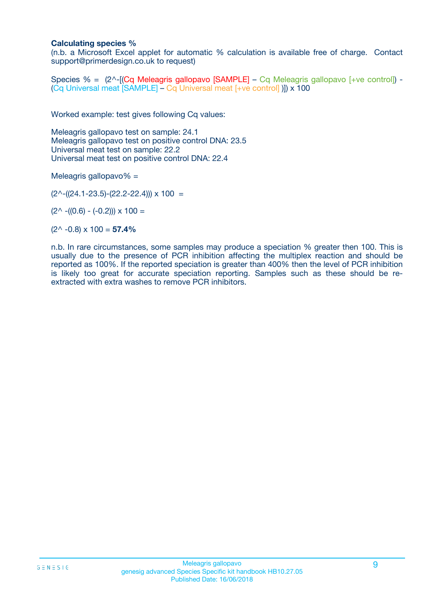### **Calculating species %**

(n.b. a Microsoft Excel applet for automatic % calculation is available free of charge. Contact support@primerdesign.co.uk to request)

Species % = (2^-[(Cq Meleagris gallopavo [SAMPLE] – Cq Meleagris gallopavo [+ve control]) -(Cq Universal meat [SAMPLE] – Cq Universal meat [+ve control] )]) x 100

Worked example: test gives following Cq values:

Meleagris gallopavo test on sample: 24.1 Meleagris gallopavo test on positive control DNA: 23.5 Universal meat test on sample: 22.2 Universal meat test on positive control DNA: 22.4

Meleagris gallopavo% =

 $(2^{\wedge}-(24.1-23.5)-(22.2-22.4))) \times 100 =$ 

 $(2^{\wedge}$  -((0.6) - (-0.2)))  $\times$  100 =

 $(2^{\wedge}$  -0.8)  $\times$  100 = **57.4%** 

n.b. In rare circumstances, some samples may produce a speciation % greater then 100. This is usually due to the presence of PCR inhibition affecting the multiplex reaction and should be reported as 100%. If the reported speciation is greater than 400% then the level of PCR inhibition is likely too great for accurate speciation reporting. Samples such as these should be reextracted with extra washes to remove PCR inhibitors.